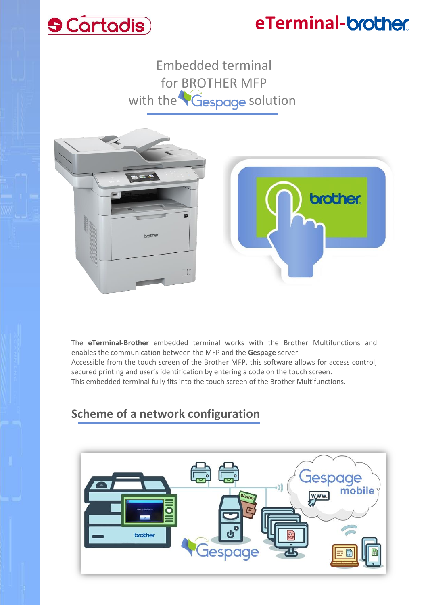# **S** Cartadis

## **eTerminal-**

Embedded terminal for BROTHER MFP with the Gespage solution



The **eTerminal-Brother** embedded terminal works with the Brother Multifunctions and enables the communication between the MFP and the **Gespage** server.

Accessible from the touch screen of the Brother MFP, this software allows for access control, secured printing and user's identification by entering a code on the touch screen.

This embedded terminal fully fits into the touch screen of the Brother Multifunctions.

### **Scheme of a network configuration**